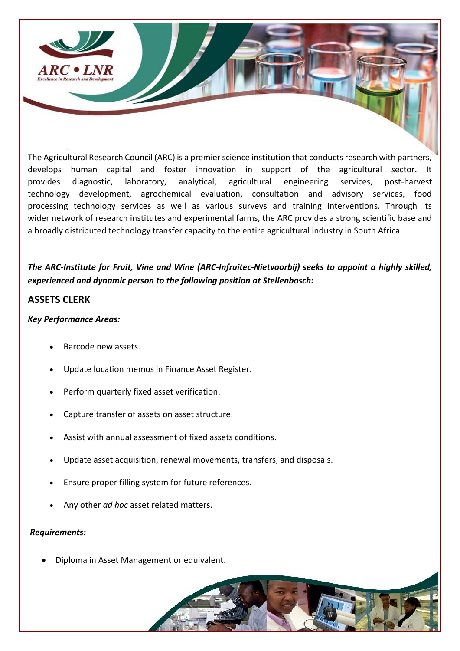

The Agricultural Research Council (ARC) is a premier science institution that conducts research with partners, develops human capital and foster innovation in support of the agricultural sector. It provides diagnostic, laboratory, analytical, agricultural engineering services, post-harvest technology development, agrochemical evaluation, consultation and advisory services, food processing technology services as well as various surveys and training interventions. Through its wider network of research institutes and experimental farms, the ARC provides a strong scientific base and a broadly distributed technology transfer capacity to the entire agricultural industry in South Africa.

*The ARC-Institute for Fruit, Vine and Wine (ARC-Infruitec-Nietvoorbij) seeks to appoint a highly skilled, experienced and dynamic person to the following position at Stellenbosch:*

\_\_\_\_\_\_\_\_\_\_\_\_\_\_\_\_\_\_\_\_\_\_\_\_\_\_\_\_\_\_\_\_\_\_\_\_\_\_\_\_\_\_\_\_\_\_\_\_\_\_\_\_\_\_\_\_\_\_\_\_\_\_\_\_\_\_\_\_\_\_\_\_\_\_\_\_\_\_\_\_\_\_\_\_\_\_\_

## **ASSETS CLERK**

## *Key Performance Areas:*

- Barcode new assets.
- Update location memos in Finance Asset Register.
- Perform quarterly fixed asset verification.
- Capture transfer of assets on asset structure.
- Assist with annual assessment of fixed assets conditions.
- Update asset acquisition, renewal movements, transfers, and disposals.
- Ensure proper filling system for future references.
- Any other *ad hoc* asset related matters.

## *Requirements:*

• Diploma in Asset Management or equivalent.